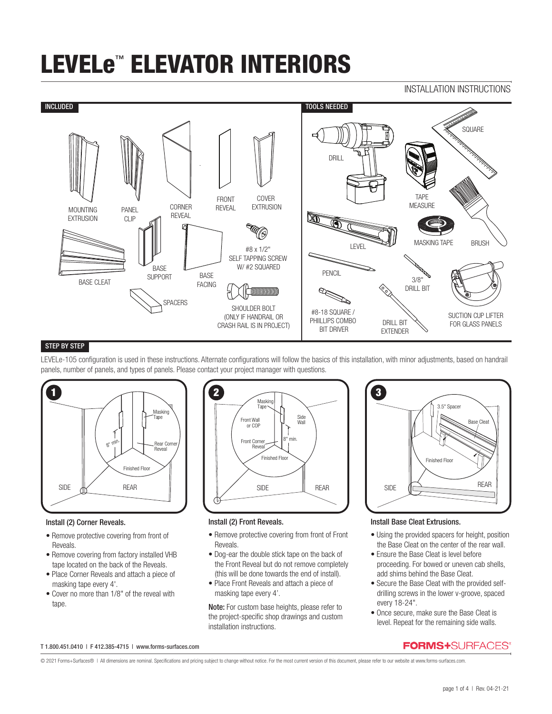## INSTALLATION INSTRUCTIONS



## STEP BY STEP

LEVELe-105 configuration is used in these instructions. Alternate configurations will follow the basics of this installation, with minor adjustments, based on handrail panels, number of panels, and types of panels. Please contact your project manager with questions.



#### Install (2) Corner Reveals.

- Remove protective covering from front of Reveals.
- Remove covering from factory installed VHB tape located on the back of the Reveals.
- Place Corner Reveals and attach a piece of masking tape every 4'.
- Cover no more than 1/8" of the reveal with tape.



### Install (2) Front Reveals.

- Remove protective covering from front of Front Reveals.
- Dog-ear the double stick tape on the back of the Front Reveal but do not remove completely (this will be done towards the end of install).
- Place Front Reveals and attach a piece of masking tape every 4'.

Note: For custom base heights, please refer to the project-specific shop drawings and custom installation instructions.



## Install Base Cleat Extrusions.

- Using the provided spacers for height, position the Base Cleat on the center of the rear wall.
- Ensure the Base Cleat is level before proceeding. For bowed or uneven cab shells, add shims behind the Base Cleat.
- Secure the Base Cleat with the provided selfdrilling screws in the lower v-groove, spaced every 18-24".
- Once secure, make sure the Base Cleat is level. Repeat for the remaining side walls.

#### T 1.800.451.0410 | F 412.385-4715 | www.forms-surfaces.com

**FORMS+**SURFACES®

© 2021 Forms+Surfaces® | All dimensions are nominal. Specifications and pricing subject to change without notice. For the most current version of this document, please refer to our website at www.forms-surfaces.com.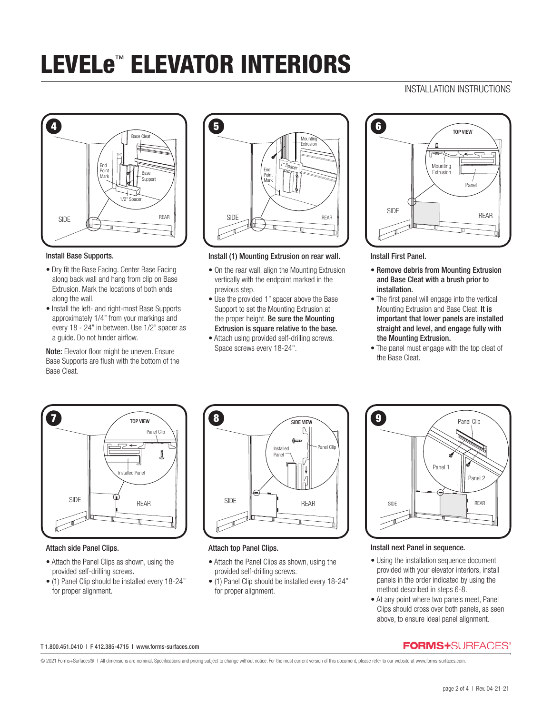# INSTALLATION INSTRUCTIONS



#### Install Base Supports.

- Dry fit the Base Facing. Center Base Facing along back wall and hang from clip on Base Extrusion. Mark the locations of both ends along the wall.
- Install the left- and right-most Base Supports approximately 1/4" from your markings and every 18 - 24" in between. Use 1/2" spacer as a guide. Do not hinder airflow.

Note: Elevator floor might be uneven. Ensure Base Supports are flush with the bottom of the Base Cleat.



Install (1) Mounting Extrusion on rear wall.

- On the rear wall, align the Mounting Extrusion vertically with the endpoint marked in the previous step.
- Use the provided 1" spacer above the Base Support to set the Mounting Extrusion at the proper height. Be sure the Mounting Extrusion is square relative to the base.
- Attach using provided self-drilling screws. Space screws every 18-24".



Install First Panel.

- Remove debris from Mounting Extrusion and Base Cleat with a brush prior to installation.
- The first panel will engage into the vertical Mounting Extrusion and Base Cleat. It is important that lower panels are installed straight and level, and engage fully with the Mounting Extrusion.
- The panel must engage with the top cleat of the Base Cleat.



## Attach side Panel Clips.

- Attach the Panel Clips as shown, using the provided self-drilling screws.
- (1) Panel Clip should be installed every 18-24" for proper alignment.



#### Attach top Panel Clips.

- Attach the Panel Clips as shown, using the provided self-drilling screws.
- (1) Panel Clip should be installed every 18-24" for proper alignment.



### Install next Panel in sequence.

- Using the installation sequence document provided with your elevator interiors, install panels in the order indicated by using the method described in steps 6-8.
- At any point where two panels meet, Panel Clips should cross over both panels, as seen above, to ensure ideal panel alignment.

#### T 1.800.451.0410 | F 412.385-4715 | www.forms-surfaces.com

© 2021 Forms+Surfaces® | All dimensions are nominal. Specifications and pricing subject to change without notice. For the most current version of this document, please refer to our website at www.forms-surfaces.com.

**FORMS+SURFACES®**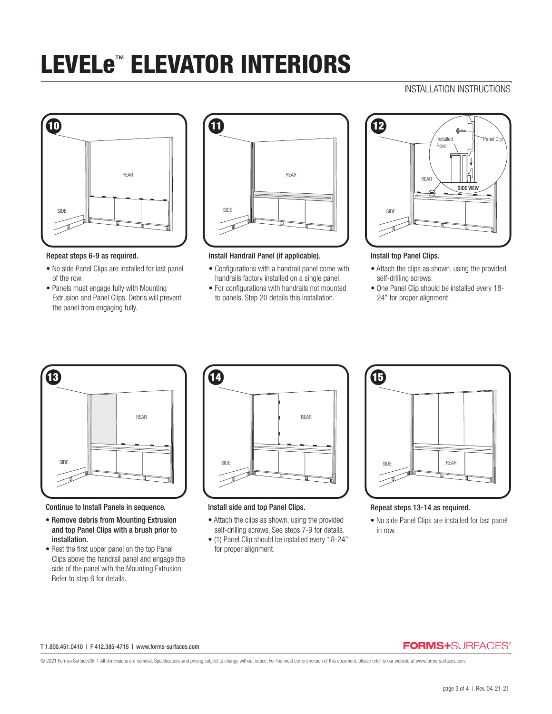# INSTALLATION INSTRUCTIONS



#### Repeat steps 6-9 as required.

- No side Panel Clips are installed for last panel of the row.
- Panels must engage fully with Mounting Extrusion and Panel Clips. Debris will prevent the panel from engaging fully.



### Install Handrail Panel (if applicable).

- Configurations with a handrail panel come with handrails factory installed on a single panel.
- For configurations with handrails not mounted to panels, Step 20 details this installation.



### Install top Panel Clips.

- Attach the clips as shown, using the provided self-drilling screws.
- One Panel Clip should be installed every 18- 24" for proper alignment.



Continue to Install Panels in sequence.

- Remove debris from Mounting Extrusion and top Panel Clips with a brush prior to installation.
- Rest the first upper panel on the top Panel Clips above the handrail panel and engage the side of the panel with the Mounting Extrusion. Refer to step 6 for details.



#### Install side and top Panel Clips.

- Attach the clips as shown, using the provided self-drilling screws. See steps 7-9 for details.
- (1) Panel Clip should be installed every 18-24" for proper alignment.



### Repeat steps 13-14 as required.

• No side Panel Clips are installed for last panel in row.

#### T 1.800.451.0410 | F 412.385-4715 | www.forms-surfaces.com

## **FORMS+**SURFACES®

© 2021 Forms+Surfaces® | All dimensions are nominal. Specifications and pricing subject to change without notice. For the most current version of this document, please refer to our website at www.forms-surfaces.com.